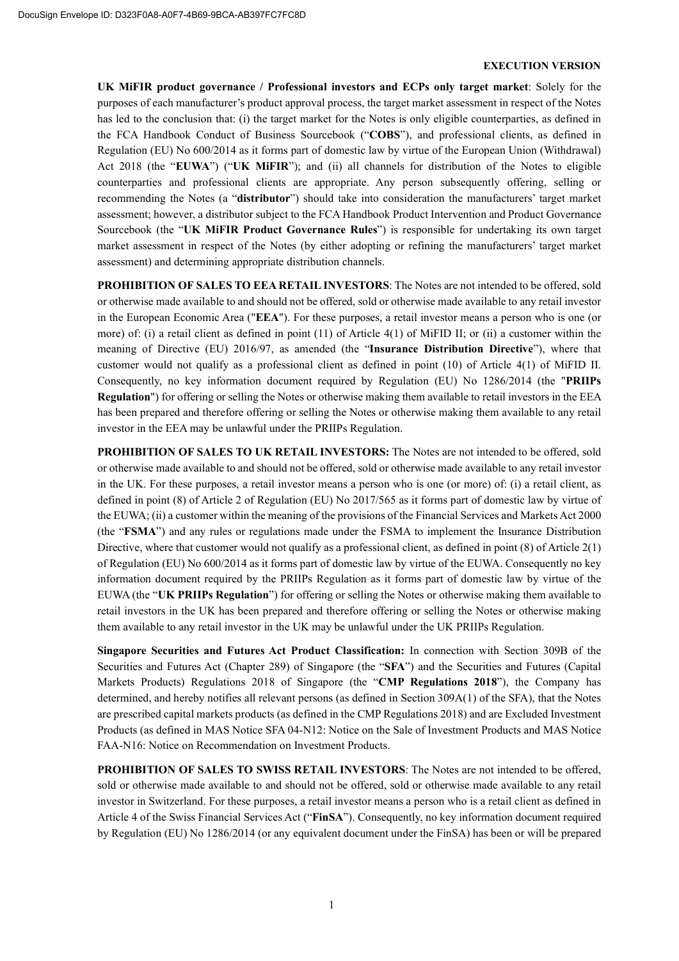### EXECUTION VERSION

UK MiFIR product governance / Professional investors and ECPs only target market: Solely for the purposes of each manufacturer's product approval process, the target market assessment in respect of the Notes has led to the conclusion that: (i) the target market for the Notes is only eligible counterparties, as defined in the FCA Handbook Conduct of Business Sourcebook ("COBS"), and professional clients, as defined in Regulation (EU) No 600/2014 as it forms part of domestic law by virtue of the European Union (Withdrawal) Act 2018 (the "EUWA") ("UK MiFIR"); and (ii) all channels for distribution of the Notes to eligible counterparties and professional clients are appropriate. Any person subsequently offering, selling or recommending the Notes (a "distributor") should take into consideration the manufacturers' target market assessment; however, a distributor subject to the FCA Handbook Product Intervention and Product Governance Sourcebook (the "UK MiFIR Product Governance Rules") is responsible for undertaking its own target market assessment in respect of the Notes (by either adopting or refining the manufacturers' target market assessment) and determining appropriate distribution channels.

PROHIBITION OF SALES TO EEA RETAIL INVESTORS: The Notes are not intended to be offered, sold or otherwise made available to and should not be offered, sold or otherwise made available to any retail investor in the European Economic Area ("EEA"). For these purposes, a retail investor means a person who is one (or more) of: (i) a retail client as defined in point (11) of Article 4(1) of MiFID II; or (ii) a customer within the meaning of Directive (EU) 2016/97, as amended (the "Insurance Distribution Directive"), where that customer would not qualify as a professional client as defined in point (10) of Article 4(1) of MiFID II. Consequently, no key information document required by Regulation (EU) No 1286/2014 (the "PRIIPs Regulation") for offering or selling the Notes or otherwise making them available to retail investors in the EEA has been prepared and therefore offering or selling the Notes or otherwise making them available to any retail investor in the EEA may be unlawful under the PRIIPs Regulation.

PROHIBITION OF SALES TO UK RETAIL INVESTORS: The Notes are not intended to be offered, sold or otherwise made available to and should not be offered, sold or otherwise made available to any retail investor in the UK. For these purposes, a retail investor means a person who is one (or more) of: (i) a retail client, as defined in point (8) of Article 2 of Regulation (EU) No 2017/565 as it forms part of domestic law by virtue of the EUWA; (ii) a customer within the meaning of the provisions of the Financial Services and Markets Act 2000 (the "FSMA") and any rules or regulations made under the FSMA to implement the Insurance Distribution Directive, where that customer would not qualify as a professional client, as defined in point (8) of Article 2(1) of Regulation (EU) No 600/2014 as it forms part of domestic law by virtue of the EUWA. Consequently no key information document required by the PRIIPs Regulation as it forms part of domestic law by virtue of the EUWA (the "UK PRIIPs Regulation") for offering or selling the Notes or otherwise making them available to retail investors in the UK has been prepared and therefore offering or selling the Notes or otherwise making them available to any retail investor in the UK may be unlawful under the UK PRIIPs Regulation.

Singapore Securities and Futures Act Product Classification: In connection with Section 309B of the Securities and Futures Act (Chapter 289) of Singapore (the "SFA") and the Securities and Futures (Capital Markets Products) Regulations 2018 of Singapore (the "CMP Regulations 2018"), the Company has determined, and hereby notifies all relevant persons (as defined in Section 309A(1) of the SFA), that the Notes are prescribed capital markets products (as defined in the CMP Regulations 2018) and are Excluded Investment Products (as defined in MAS Notice SFA 04-N12: Notice on the Sale of Investment Products and MAS Notice FAA-N16: Notice on Recommendation on Investment Products.

PROHIBITION OF SALES TO SWISS RETAIL INVESTORS: The Notes are not intended to be offered, sold or otherwise made available to and should not be offered, sold or otherwise made available to any retail investor in Switzerland. For these purposes, a retail investor means a person who is a retail client as defined in Article 4 of the Swiss Financial Services Act ("FinSA"). Consequently, no key information document required by Regulation (EU) No 1286/2014 (or any equivalent document under the FinSA) has been or will be prepared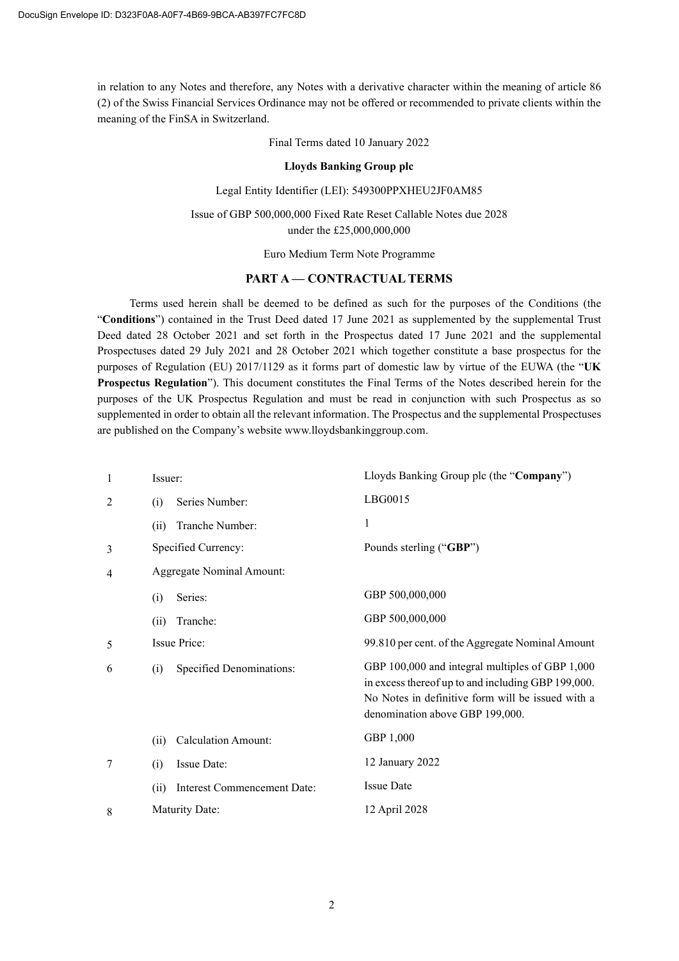in relation to any Notes and therefore, any Notes with a derivative character within the meaning of article 86 (2) of the Swiss Financial Services Ordinance may not be offered or recommended to private clients within the meaning of the FinSA in Switzerland.

Final Terms dated 10 January 2022

### Lloyds Banking Group plc

### Legal Entity Identifier (LEI): 549300PPXHEU2JF0AM85

Issue of GBP 500,000,000 Fixed Rate Reset Callable Notes due 2028 under the £25,000,000,000

Euro Medium Term Note Programme

## PART A — CONTRACTUAL TERMS

Terms used herein shall be deemed to be defined as such for the purposes of the Conditions (the "Conditions") contained in the Trust Deed dated 17 June 2021 as supplemented by the supplemental Trust Deed dated 28 October 2021 and set forth in the Prospectus dated 17 June 2021 and the supplemental Prospectuses dated 29 July 2021 and 28 October 2021 which together constitute a base prospectus for the purposes of Regulation (EU) 2017/1129 as it forms part of domestic law by virtue of the EUWA (the "UK Prospectus Regulation"). This document constitutes the Final Terms of the Notes described herein for the purposes of the UK Prospectus Regulation and must be read in conjunction with such Prospectus as so supplemented in order to obtain all the relevant information. The Prospectus and the supplemental Prospectuses are published on the Company's website www.lloydsbankinggroup.com.

| 1              | Issuer:                          |                             | Lloyds Banking Group plc (the "Company")                                                                                                                                                      |
|----------------|----------------------------------|-----------------------------|-----------------------------------------------------------------------------------------------------------------------------------------------------------------------------------------------|
| 2              | (i)                              | Series Number:              | LBG0015                                                                                                                                                                                       |
|                | (ii)                             | Tranche Number:             | 1                                                                                                                                                                                             |
| 3              |                                  | Specified Currency:         | Pounds sterling ("GBP")                                                                                                                                                                       |
| $\overline{4}$ | <b>Aggregate Nominal Amount:</b> |                             |                                                                                                                                                                                               |
|                | (i)                              | Series:                     | GBP 500,000,000                                                                                                                                                                               |
|                | (ii)                             | Tranche:                    | GBP 500,000,000                                                                                                                                                                               |
| 5              | Issue Price:                     |                             | 99.810 per cent. of the Aggregate Nominal Amount                                                                                                                                              |
| 6              | (i)                              | Specified Denominations:    | GBP 100,000 and integral multiples of GBP 1,000<br>in excess thereof up to and including GBP 199,000.<br>No Notes in definitive form will be issued with a<br>denomination above GBP 199,000. |
|                | (ii)                             | <b>Calculation Amount:</b>  | GBP 1,000                                                                                                                                                                                     |
| 7              | (i)                              | Issue Date:                 | 12 January 2022                                                                                                                                                                               |
|                | (ii)                             | Interest Commencement Date: | <b>Issue Date</b>                                                                                                                                                                             |
| 8              | Maturity Date:                   |                             | 12 April 2028                                                                                                                                                                                 |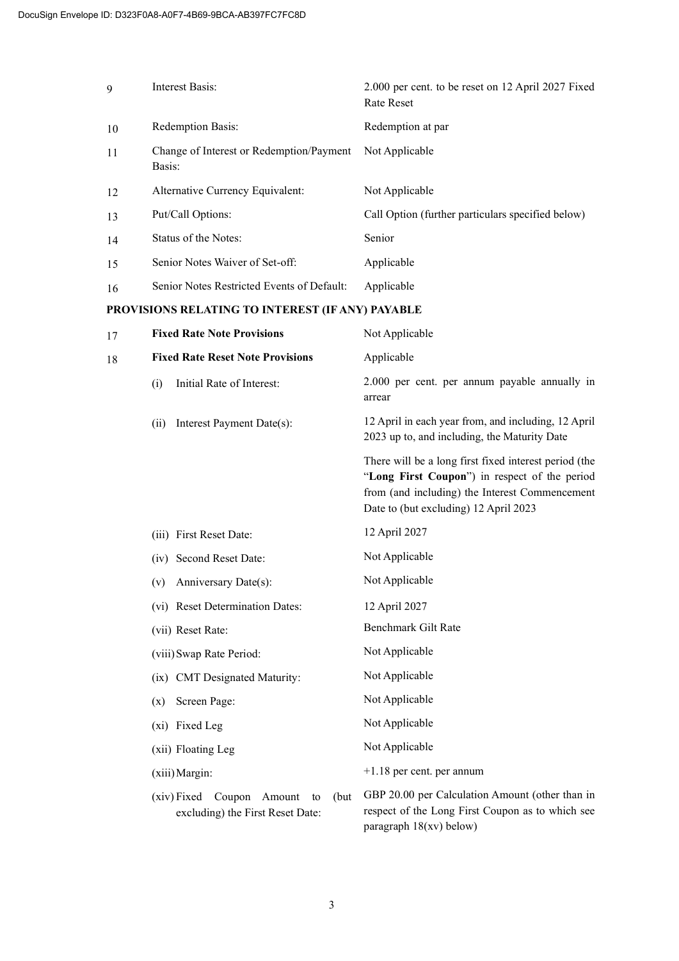| 9                                                | Interest Basis:                                    | 2.000 per cent. to be reset on 12 April 2027 Fixed<br><b>Rate Reset</b> |  |  |
|--------------------------------------------------|----------------------------------------------------|-------------------------------------------------------------------------|--|--|
| 10                                               | Redemption Basis:                                  | Redemption at par                                                       |  |  |
| 11                                               | Change of Interest or Redemption/Payment<br>Basis: | Not Applicable                                                          |  |  |
| 12                                               | Alternative Currency Equivalent:                   | Not Applicable                                                          |  |  |
| 13                                               | Put/Call Options:                                  | Call Option (further particulars specified below)                       |  |  |
| 14                                               | Status of the Notes:                               | Senior                                                                  |  |  |
| 15                                               | Senior Notes Waiver of Set-off:                    | Applicable                                                              |  |  |
| 16                                               | Senior Notes Restricted Events of Default:         | Applicable                                                              |  |  |
| PROVISIONS RELATING TO INTEREST (IF ANY) PAYABLE |                                                    |                                                                         |  |  |
| 17                                               | <b>Fixed Rate Note Provisions</b>                  | Not Applicable                                                          |  |  |

| 18 | <b>Fixed Rate Reset Note Provisions</b>     | Applicable                                                                                                                                                                                        |
|----|---------------------------------------------|---------------------------------------------------------------------------------------------------------------------------------------------------------------------------------------------------|
|    | Initial Rate of Interest:<br>(i)            | 2.000 per cent. per annum payable annually in<br>arrear                                                                                                                                           |
|    | Interest Payment Date(s):<br>(ii)           | 12 April in each year from, and including, 12 April<br>2023 up to, and including, the Maturity Date                                                                                               |
|    |                                             | There will be a long first fixed interest period (the<br>"Long First Coupon") in respect of the period<br>from (and including) the Interest Commencement<br>Date to (but excluding) 12 April 2023 |
|    | (iii) First Reset Date:                     | 12 April 2027                                                                                                                                                                                     |
|    | (iv) Second Reset Date:                     | Not Applicable                                                                                                                                                                                    |
|    | Anniversary Date(s):<br>(v)                 | Not Applicable                                                                                                                                                                                    |
|    | (vi) Reset Determination Dates:             | 12 April 2027                                                                                                                                                                                     |
|    | (vii) Reset Rate:                           | Benchmark Gilt Rate                                                                                                                                                                               |
|    | (viii) Swap Rate Period:                    | Not Applicable                                                                                                                                                                                    |
|    | (ix) CMT Designated Maturity:               | Not Applicable                                                                                                                                                                                    |
|    | Screen Page:<br>(x)                         | Not Applicable                                                                                                                                                                                    |
|    | (xi) Fixed Leg                              | Not Applicable                                                                                                                                                                                    |
|    | (xii) Floating Leg                          | Not Applicable                                                                                                                                                                                    |
|    | (xiii) Margin:                              | $+1.18$ per cent. per annum                                                                                                                                                                       |
|    | (xiv) Fixed<br>Coupon Amount<br>(but)<br>to | GBP 20.00 per Calculation Amount (other than in                                                                                                                                                   |

respect of the Long First Coupon as to which see paragraph 18(xv) below)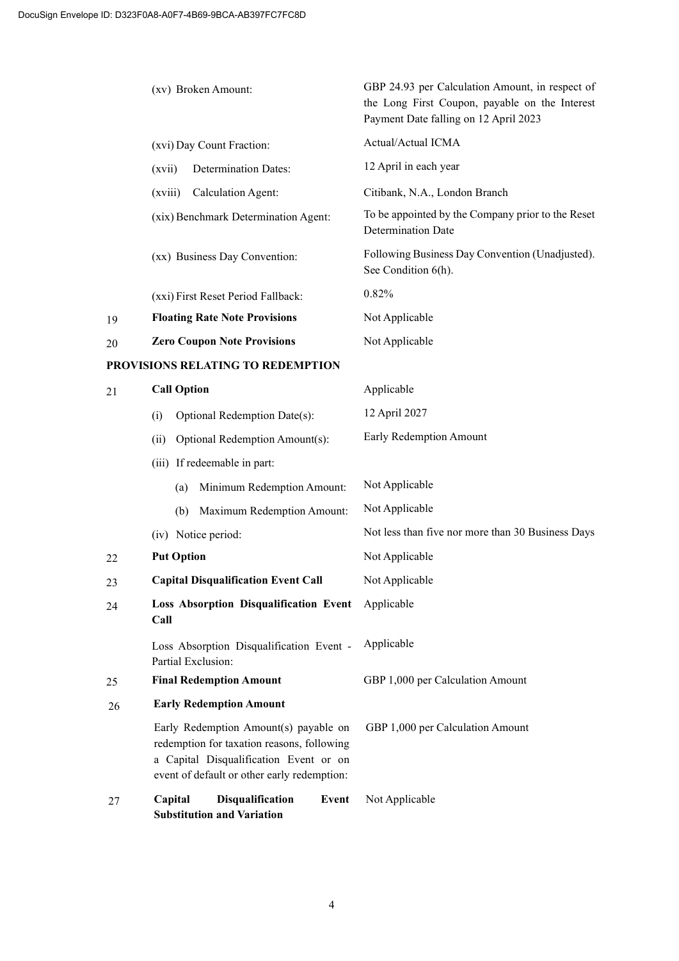|                                   | (xv) Broken Amount:<br>(xvi) Day Count Fraction: |                                                                                                                                                                              | GBP 24.93 per Calculation Amount, in respect of<br>the Long First Coupon, payable on the Interest<br>Payment Date falling on 12 April 2023 |  |  |
|-----------------------------------|--------------------------------------------------|------------------------------------------------------------------------------------------------------------------------------------------------------------------------------|--------------------------------------------------------------------------------------------------------------------------------------------|--|--|
|                                   |                                                  |                                                                                                                                                                              | Actual/Actual ICMA                                                                                                                         |  |  |
|                                   | (xvii)                                           | <b>Determination Dates:</b>                                                                                                                                                  | 12 April in each year                                                                                                                      |  |  |
|                                   | (xviii)                                          | Calculation Agent:                                                                                                                                                           | Citibank, N.A., London Branch                                                                                                              |  |  |
|                                   |                                                  | (xix) Benchmark Determination Agent:                                                                                                                                         | To be appointed by the Company prior to the Reset<br>Determination Date                                                                    |  |  |
|                                   |                                                  | (xx) Business Day Convention:                                                                                                                                                | Following Business Day Convention (Unadjusted).<br>See Condition 6(h).                                                                     |  |  |
|                                   |                                                  | (xxi) First Reset Period Fallback:                                                                                                                                           | 0.82%                                                                                                                                      |  |  |
| 19                                |                                                  | <b>Floating Rate Note Provisions</b>                                                                                                                                         | Not Applicable                                                                                                                             |  |  |
| 20                                |                                                  | <b>Zero Coupon Note Provisions</b>                                                                                                                                           | Not Applicable                                                                                                                             |  |  |
| PROVISIONS RELATING TO REDEMPTION |                                                  |                                                                                                                                                                              |                                                                                                                                            |  |  |
| 21                                | <b>Call Option</b>                               |                                                                                                                                                                              | Applicable                                                                                                                                 |  |  |
|                                   | (i)                                              | Optional Redemption Date(s):                                                                                                                                                 | 12 April 2027                                                                                                                              |  |  |
|                                   | (ii)                                             | Optional Redemption Amount(s):                                                                                                                                               | Early Redemption Amount                                                                                                                    |  |  |
|                                   |                                                  | (iii) If redeemable in part:                                                                                                                                                 |                                                                                                                                            |  |  |
|                                   | (a)                                              | Minimum Redemption Amount:                                                                                                                                                   | Not Applicable                                                                                                                             |  |  |
|                                   | (b)                                              | Maximum Redemption Amount:                                                                                                                                                   | Not Applicable                                                                                                                             |  |  |
|                                   |                                                  | (iv) Notice period:                                                                                                                                                          | Not less than five nor more than 30 Business Days                                                                                          |  |  |
| 22                                | <b>Put Option</b>                                |                                                                                                                                                                              | Not Applicable                                                                                                                             |  |  |
| 23                                |                                                  | <b>Capital Disqualification Event Call</b>                                                                                                                                   | Not Applicable                                                                                                                             |  |  |
| 24                                | Call                                             | Loss Absorption Disqualification Event Applicable                                                                                                                            |                                                                                                                                            |  |  |
|                                   |                                                  | Loss Absorption Disqualification Event -<br>Partial Exclusion:                                                                                                               | Applicable                                                                                                                                 |  |  |
| 25                                | <b>Final Redemption Amount</b>                   |                                                                                                                                                                              | GBP 1,000 per Calculation Amount                                                                                                           |  |  |
| 26                                |                                                  | <b>Early Redemption Amount</b>                                                                                                                                               |                                                                                                                                            |  |  |
|                                   |                                                  | Early Redemption Amount(s) payable on<br>redemption for taxation reasons, following<br>a Capital Disqualification Event or on<br>event of default or other early redemption: | GBP 1,000 per Calculation Amount                                                                                                           |  |  |
| 27                                | Capital                                          | <b>Disqualification</b><br>Event<br><b>Substitution and Variation</b>                                                                                                        | Not Applicable                                                                                                                             |  |  |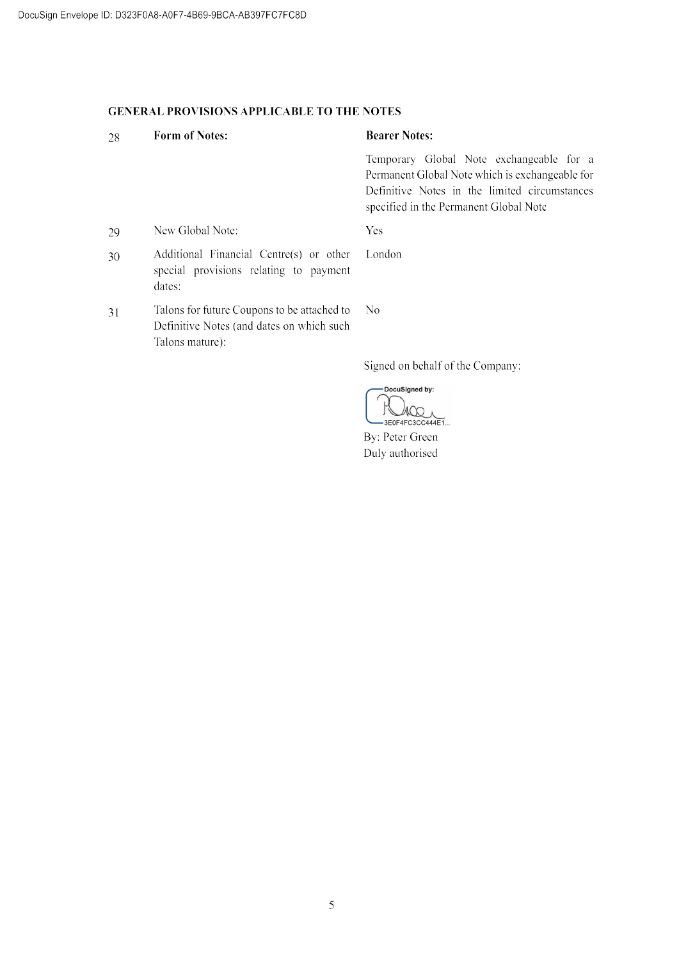# **GENERAL PROVISIONS APPLICABLE TO THE NOTES**

### **Form of Notes: Bearer Notes:** 28 Temporary Global Note exchangeable for a Permanent Global Note which is exchangeable for Definitive Notes in the limited circumstances specified in the Permanent Global Note New Global Note: Yes 29 Additional Financial Centre(s) or other London 30 special provisions relating to payment dates: Talons for future Coupons to be attached to  $\overline{N}$ 31 Definitive Notes (and dates on which such Talons mature):

Signed on behalf of the Company:

- DocuSigned by:  $\mathbb{R}$  $100,$  $-3E0F4FC3CC444E1...$ 

By: Peter Green Duly authorised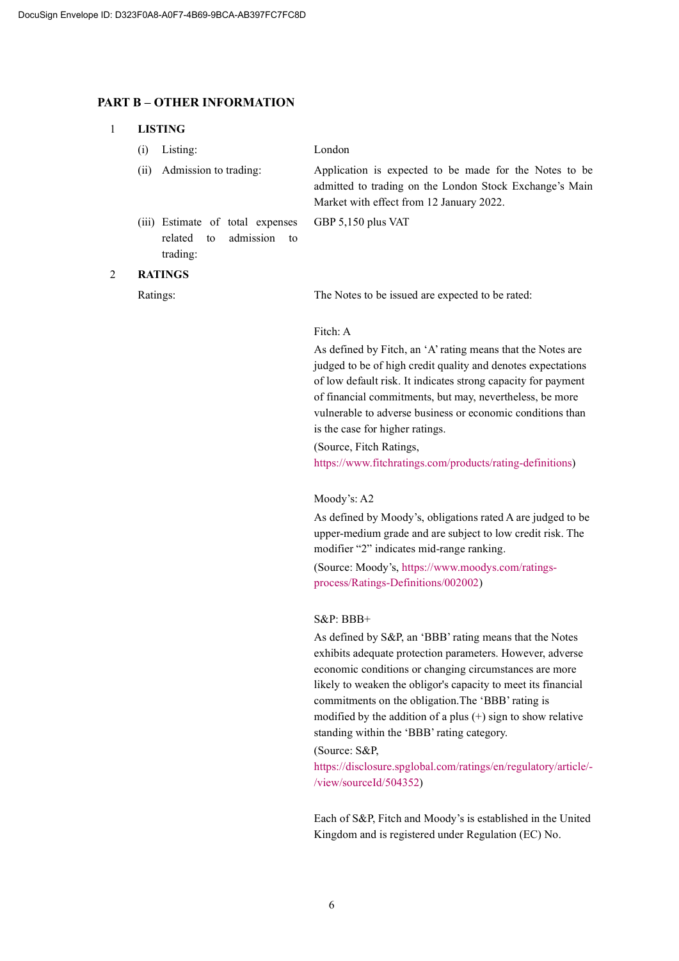### PART B – OTHER INFORMATION

### 1 LISTING

(i) Listing: London

(ii) Admission to trading: Application is expected to be made for the Notes to be admitted to trading on the London Stock Exchange's Main Market with effect from 12 January 2022.

GBP 5,150 plus VAT

(iii) Estimate of total expenses related to admission to trading:

### 2 RATINGS

Ratings: The Notes to be issued are expected to be rated:

### Fitch: A

As defined by Fitch, an 'A' rating means that the Notes are judged to be of high credit quality and denotes expectations of low default risk. It indicates strong capacity for payment of financial commitments, but may, nevertheless, be more vulnerable to adverse business or economic conditions than is the case for higher ratings.

(Source, Fitch Ratings, https://www.fitchratings.com/products/rating-definitions)

### Moody's: A2

As defined by Moody's, obligations rated A are judged to be upper-medium grade and are subject to low credit risk. The modifier "2" indicates mid-range ranking.

(Source: Moody's, https://www.moodys.com/ratingsprocess/Ratings-Definitions/002002)

### S&P: BBB+

As defined by S&P, an 'BBB' rating means that the Notes exhibits adequate protection parameters. However, adverse economic conditions or changing circumstances are more likely to weaken the obligor's capacity to meet its financial commitments on the obligation.The 'BBB' rating is modified by the addition of a plus  $(+)$  sign to show relative standing within the 'BBB' rating category.

## (Source: S&P,

https://disclosure.spglobal.com/ratings/en/regulatory/article/- /view/sourceId/504352)

Each of S&P, Fitch and Moody's is established in the United Kingdom and is registered under Regulation (EC) No.